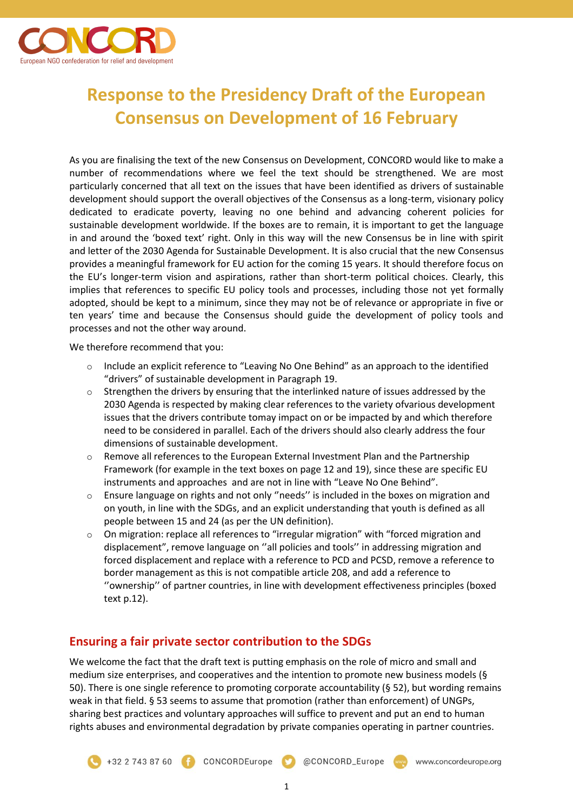

# **Response to the Presidency Draft of the European Consensus on Development of 16 February**

As you are finalising the text of the new Consensus on Development, CONCORD would like to make a number of recommendations where we feel the text should be strengthened. We are most particularly concerned that all text on the issues that have been identified as drivers of sustainable development should support the overall objectives of the Consensus as a long-term, visionary policy dedicated to eradicate poverty, leaving no one behind and advancing coherent policies for sustainable development worldwide. If the boxes are to remain, it is important to get the language in and around the 'boxed text' right. Only in this way will the new Consensus be in line with spirit and letter of the 2030 Agenda for Sustainable Development. It is also crucial that the new Consensus provides a meaningful framework for EU action for the coming 15 years. It should therefore focus on the EU's longer-term vision and aspirations, rather than short-term political choices. Clearly, this implies that references to specific EU policy tools and processes, including those not yet formally adopted, should be kept to a minimum, since they may not be of relevance or appropriate in five or ten years' time and because the Consensus should guide the development of policy tools and processes and not the other way around.

We therefore recommend that you:

- $\circ$  Include an explicit reference to "Leaving No One Behind" as an approach to the identified "drivers" of sustainable development in Paragraph 19.
- $\circ$  Strengthen the drivers by ensuring that the interlinked nature of issues addressed by the 2030 Agenda is respected by making clear references to the variety ofvarious development issues that the drivers contribute tomay impact on or be impacted by and which therefore need to be considered in parallel. Each of the drivers should also clearly address the four dimensions of sustainable development.
- o Remove all references to the European External Investment Plan and the Partnership Framework (for example in the text boxes on page 12 and 19), since these are specific EU instruments and approaches and are not in line with "Leave No One Behind".
- o Ensure language on rights and not only ''needs'' is included in the boxes on migration and on youth, in line with the SDGs, and an explicit understanding that youth is defined as all people between 15 and 24 (as per the UN definition).
- $\circ$  On migration: replace all references to "irregular migration" with "forced migration and displacement", remove language on ''all policies and tools'' in addressing migration and forced displacement and replace with a reference to PCD and PCSD, remove a reference to border management as this is not compatible article 208, and add a reference to ''ownership'' of partner countries, in line with development effectiveness principles (boxed text p.12).

# **Ensuring a fair private sector contribution to the SDGs**

We welcome the fact that the draft text is putting emphasis on the role of micro and small and medium size enterprises, and cooperatives and the intention to promote new business models (§ 50). There is one single reference to promoting corporate accountability (§ 52), but wording remains weak in that field. § 53 seems to assume that promotion (rather than enforcement) of UNGPs, sharing best practices and voluntary approaches will suffice to prevent and put an end to human rights abuses and environmental degradation by private companies operating in partner countries.

+32 2 743 87 60 CONCORDEurope @CONCORD\_Europe www.concordeurope.org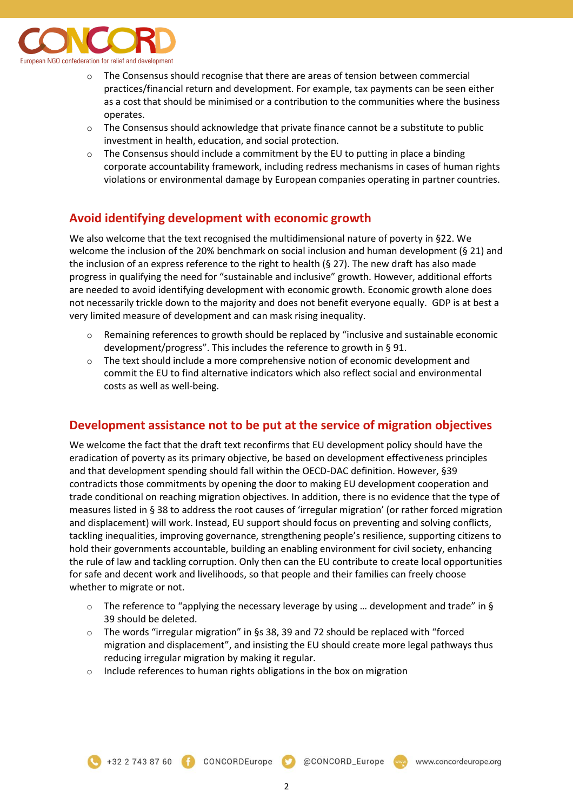

- $\circ$  The Consensus should recognise that there are areas of tension between commercial practices/financial return and development. For example, tax payments can be seen either as a cost that should be minimised or a contribution to the communities where the business operates.
- $\circ$  The Consensus should acknowledge that private finance cannot be a substitute to public investment in health, education, and social protection.
- $\circ$  The Consensus should include a commitment by the EU to putting in place a binding corporate accountability framework, including redress mechanisms in cases of human rights violations or environmental damage by European companies operating in partner countries.

#### **Avoid identifying development with economic growth**

We also welcome that the text recognised the multidimensional nature of poverty in §22. We welcome the inclusion of the 20% benchmark on social inclusion and human development (§ 21) and the inclusion of an express reference to the right to health (§ 27). The new draft has also made progress in qualifying the need for "sustainable and inclusive" growth. However, additional efforts are needed to avoid identifying development with economic growth. Economic growth alone does not necessarily trickle down to the majority and does not benefit everyone equally. GDP is at best a very limited measure of development and can mask rising inequality.

- Remaining references to growth should be replaced by "inclusive and sustainable economic development/progress". This includes the reference to growth in § 91.
- $\circ$  The text should include a more comprehensive notion of economic development and commit the EU to find alternative indicators which also reflect social and environmental costs as well as well-being.

#### **Development assistance not to be put at the service of migration objectives**

We welcome the fact that the draft text reconfirms that EU development policy should have the eradication of poverty as its primary objective, be based on development effectiveness principles and that development spending should fall within the OECD-DAC definition. However, §39 contradicts those commitments by opening the door to making EU development cooperation and trade conditional on reaching migration objectives. In addition, there is no evidence that the type of measures listed in § 38 to address the root causes of 'irregular migration' (or rather forced migration and displacement) will work. Instead, EU support should focus on preventing and solving conflicts, tackling inequalities, improving governance, strengthening people's resilience, supporting citizens to hold their governments accountable, building an enabling environment for civil society, enhancing the rule of law and tackling corruption. Only then can the EU contribute to create local opportunities for safe and decent work and livelihoods, so that people and their families can freely choose whether to migrate or not.

- $\circ$  The reference to "applying the necessary leverage by using ... development and trade" in § 39 should be deleted.
- $\circ$  The words "irregular migration" in §s 38, 39 and 72 should be replaced with "forced migration and displacement", and insisting the EU should create more legal pathways thus reducing irregular migration by making it regular.
- o Include references to human rights obligations in the box on migration

+32 2 743 87 60 **CONCORDEurope** 

@CONCORD\_Europe

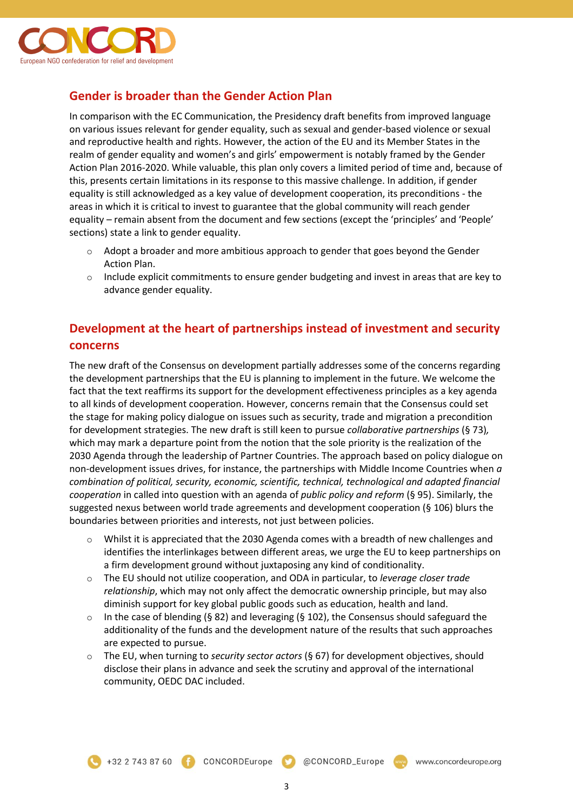

# **Gender is broader than the Gender Action Plan**

In comparison with the EC Communication, the Presidency draft benefits from improved language on various issues relevant for gender equality, such as sexual and gender-based violence or sexual and reproductive health and rights. However, the action of the EU and its Member States in the realm of gender equality and women's and girls' empowerment is notably framed by the Gender Action Plan 2016-2020. While valuable, this plan only covers a limited period of time and, because of this, presents certain limitations in its response to this massive challenge. In addition, if gender equality is still acknowledged as a key value of development cooperation, its preconditions - the areas in which it is critical to invest to guarantee that the global community will reach gender equality – remain absent from the document and few sections (except the 'principles' and 'People' sections) state a link to gender equality.

- $\circ$  Adopt a broader and more ambitious approach to gender that goes beyond the Gender Action Plan.
- $\circ$  Include explicit commitments to ensure gender budgeting and invest in areas that are key to advance gender equality.

#### **Development at the heart of partnerships instead of investment and security concerns**

The new draft of the Consensus on development partially addresses some of the concerns regarding the development partnerships that the EU is planning to implement in the future. We welcome the fact that the text reaffirms its support for the development effectiveness principles as a key agenda to all kinds of development cooperation. However, concerns remain that the Consensus could set the stage for making policy dialogue on issues such as security, trade and migration a precondition for development strategies. The new draft is still keen to pursue *collaborative partnerships* (§ 73)*,* which may mark a departure point from the notion that the sole priority is the realization of the 2030 Agenda through the leadership of Partner Countries. The approach based on policy dialogue on non-development issues drives, for instance, the partnerships with Middle Income Countries when *a combination of political, security, economic, scientific, technical, technological and adapted financial cooperation* in called into question with an agenda of *public policy and reform* (§ 95). Similarly, the suggested nexus between world trade agreements and development cooperation (§ 106) blurs the boundaries between priorities and interests, not just between policies.

- Whilst it is appreciated that the 2030 Agenda comes with a breadth of new challenges and identifies the interlinkages between different areas, we urge the EU to keep partnerships on a firm development ground without juxtaposing any kind of conditionality.
- o The EU should not utilize cooperation, and ODA in particular, to *leverage closer trade relationship*, which may not only affect the democratic ownership principle, but may also diminish support for key global public goods such as education, health and land.
- $\circ$  In the case of blending (§ 82) and leveraging (§ 102), the Consensus should safeguard the additionality of the funds and the development nature of the results that such approaches are expected to pursue.
- o The EU, when turning to *security sector actors* (§ 67) for development objectives, should disclose their plans in advance and seek the scrutiny and approval of the international community, OEDC DAC included.

@CONCORD\_Europe

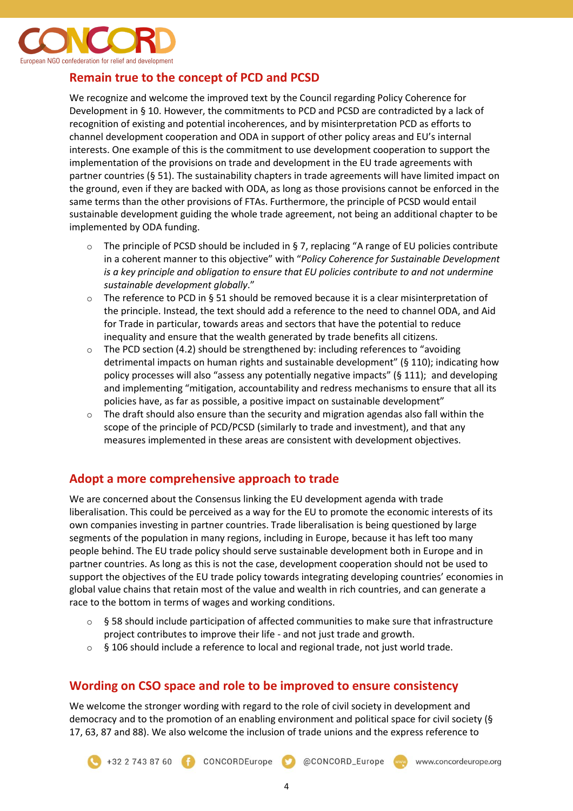

# **Remain true to the concept of PCD and PCSD**

We recognize and welcome the improved text by the Council regarding Policy Coherence for Development in § 10. However, the commitments to PCD and PCSD are contradicted by a lack of recognition of existing and potential incoherences, and by misinterpretation PCD as efforts to channel development cooperation and ODA in support of other policy areas and EU's internal interests. One example of this is the commitment to use development cooperation to support the implementation of the provisions on trade and development in the EU trade agreements with partner countries (§ 51). The sustainability chapters in trade agreements will have limited impact on the ground, even if they are backed with ODA, as long as those provisions cannot be enforced in the same terms than the other provisions of FTAs. Furthermore, the principle of PCSD would entail sustainable development guiding the whole trade agreement, not being an additional chapter to be implemented by ODA funding.

- o The principle of PCSD should be included in § 7, replacing "A range of EU policies contribute in a coherent manner to this objective" with "*Policy Coherence for Sustainable Development is a key principle and obligation to ensure that EU policies contribute to and not undermine sustainable development globally*."
- $\circ$  The reference to PCD in § 51 should be removed because it is a clear misinterpretation of the principle. Instead, the text should add a reference to the need to channel ODA, and Aid for Trade in particular, towards areas and sectors that have the potential to reduce inequality and ensure that the wealth generated by trade benefits all citizens.
- $\circ$  The PCD section (4.2) should be strengthened by: including references to "avoiding detrimental impacts on human rights and sustainable development" (§ 110); indicating how policy processes will also "assess any potentially negative impacts" (§ 111); and developing and implementing "mitigation, accountability and redress mechanisms to ensure that all its policies have, as far as possible, a positive impact on sustainable development"
- $\circ$  The draft should also ensure than the security and migration agendas also fall within the scope of the principle of PCD/PCSD (similarly to trade and investment), and that any measures implemented in these areas are consistent with development objectives.

#### **Adopt a more comprehensive approach to trade**

We are concerned about the Consensus linking the EU development agenda with trade liberalisation. This could be perceived as a way for the EU to promote the economic interests of its own companies investing in partner countries. Trade liberalisation is being questioned by large segments of the population in many regions, including in Europe, because it has left too many people behind. The EU trade policy should serve sustainable development both in Europe and in partner countries. As long as this is not the case, development cooperation should not be used to support the objectives of the EU trade policy towards integrating developing countries' economies in global value chains that retain most of the value and wealth in rich countries, and can generate a race to the bottom in terms of wages and working conditions.

- $\circ$  § 58 should include participation of affected communities to make sure that infrastructure project contributes to improve their life - and not just trade and growth.
- $\circ$  § 106 should include a reference to local and regional trade, not just world trade.

#### **Wording on CSO space and role to be improved to ensure consistency**

We welcome the stronger wording with regard to the role of civil society in development and democracy and to the promotion of an enabling environment and political space for civil society (§ 17, 63, 87 and 88). We also welcome the inclusion of trade unions and the express reference to

@CONCORD\_Europe



www.concordeurope.org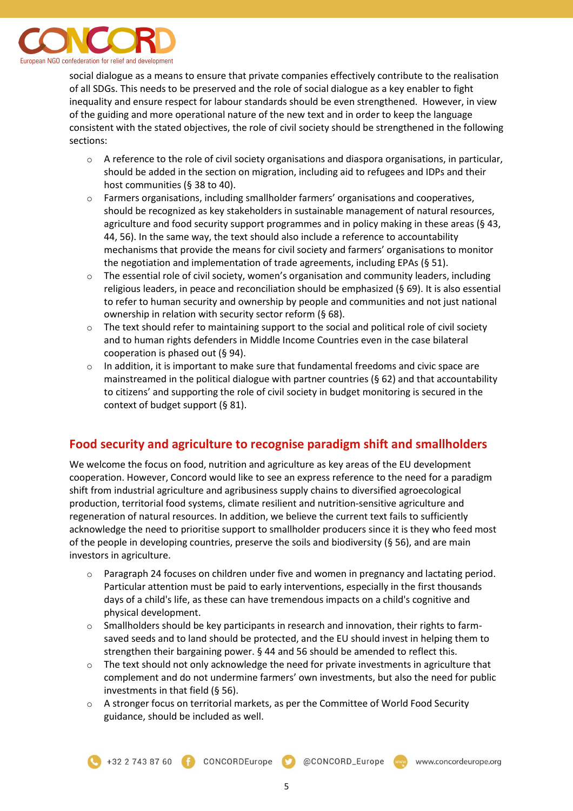

social dialogue as a means to ensure that private companies effectively contribute to the realisation of all SDGs. This needs to be preserved and the role of social dialogue as a key enabler to fight inequality and ensure respect for labour standards should be even strengthened. However, in view of the guiding and more operational nature of the new text and in order to keep the language consistent with the stated objectives, the role of civil society should be strengthened in the following sections:

- $\circ$  A reference to the role of civil society organisations and diaspora organisations, in particular, should be added in the section on migration, including aid to refugees and IDPs and their host communities (§ 38 to 40).
- $\circ$  Farmers organisations, including smallholder farmers' organisations and cooperatives, should be recognized as key stakeholders in sustainable management of natural resources, agriculture and food security support programmes and in policy making in these areas (§ 43, 44, 56). In the same way, the text should also include a reference to accountability mechanisms that provide the means for civil society and farmers' organisations to monitor the negotiation and implementation of trade agreements, including EPAs (§ 51).
- $\circ$  The essential role of civil society, women's organisation and community leaders, including religious leaders, in peace and reconciliation should be emphasized (§ 69). It is also essential to refer to human security and ownership by people and communities and not just national ownership in relation with security sector reform (§ 68).
- $\circ$  The text should refer to maintaining support to the social and political role of civil society and to human rights defenders in Middle Income Countries even in the case bilateral cooperation is phased out (§ 94).
- o In addition, it is important to make sure that fundamental freedoms and civic space are mainstreamed in the political dialogue with partner countries (§ 62) and that accountability to citizens' and supporting the role of civil society in budget monitoring is secured in the context of budget support (§ 81).

# **Food security and agriculture to recognise paradigm shift and smallholders**

We welcome the focus on food, nutrition and agriculture as key areas of the EU development cooperation. However, Concord would like to see an express reference to the need for a paradigm shift from industrial agriculture and agribusiness supply chains to diversified agroecological production, territorial food systems, climate resilient and nutrition-sensitive agriculture and regeneration of natural resources. In addition, we believe the current text fails to sufficiently acknowledge the need to prioritise support to smallholder producers since it is they who feed most of the people in developing countries, preserve the soils and biodiversity (§ 56), and are main investors in agriculture.

- o Paragraph 24 focuses on children under five and women in pregnancy and lactating period. Particular attention must be paid to early interventions, especially in the first thousands days of a child's life, as these can have tremendous impacts on a child's cognitive and physical development.
- $\circ$  Smallholders should be key participants in research and innovation, their rights to farmsaved seeds and to land should be protected, and the EU should invest in helping them to strengthen their bargaining power. § 44 and 56 should be amended to reflect this.
- $\circ$  The text should not only acknowledge the need for private investments in agriculture that complement and do not undermine farmers' own investments, but also the need for public investments in that field (§ 56).
- o A stronger focus on territorial markets, as per the Committee of World Food Security guidance, should be included as well.

@CONCORD\_Europe

www.concordeurope.org